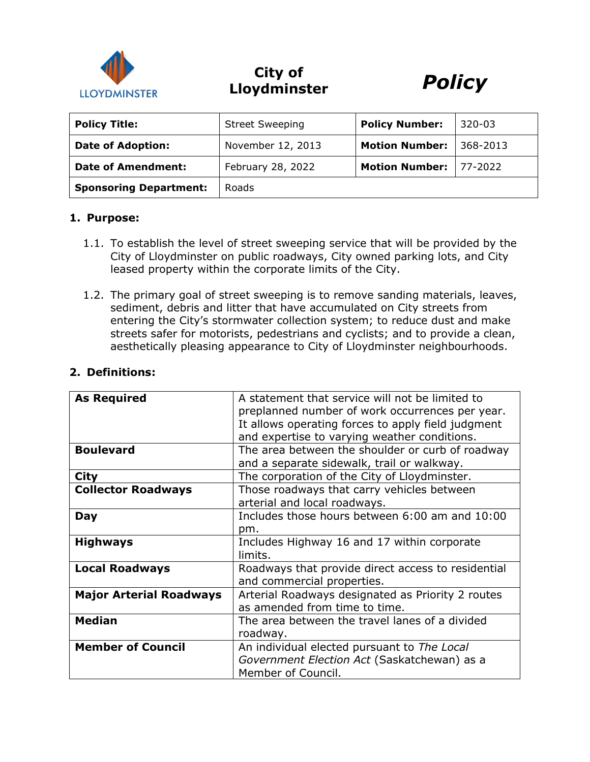

# **City of Lloydminster** *Policy*



| <b>Policy Title:</b>          | <b>Street Sweeping</b> | <b>Policy Number:</b> | $320 - 03$ |
|-------------------------------|------------------------|-----------------------|------------|
| <b>Date of Adoption:</b>      | November 12, 2013      | <b>Motion Number:</b> | 368-2013   |
| <b>Date of Amendment:</b>     | February 28, 2022      | <b>Motion Number:</b> | 77-2022    |
| <b>Sponsoring Department:</b> | <b>Roads</b>           |                       |            |

#### **1. Purpose:**

- 1.1. To establish the level of street sweeping service that will be provided by the City of Lloydminster on public roadways, City owned parking lots, and City leased property within the corporate limits of the City.
- 1.2. The primary goal of street sweeping is to remove sanding materials, leaves, sediment, debris and litter that have accumulated on City streets from entering the City's stormwater collection system; to reduce dust and make streets safer for motorists, pedestrians and cyclists; and to provide a clean, aesthetically pleasing appearance to City of Lloydminster neighbourhoods.

| <b>As Required</b>             | A statement that service will not be limited to    |  |
|--------------------------------|----------------------------------------------------|--|
|                                | preplanned number of work occurrences per year.    |  |
|                                | It allows operating forces to apply field judgment |  |
|                                | and expertise to varying weather conditions.       |  |
| <b>Boulevard</b>               | The area between the shoulder or curb of roadway   |  |
|                                |                                                    |  |
|                                | and a separate sidewalk, trail or walkway.         |  |
| City                           | The corporation of the City of Lloydminster.       |  |
| <b>Collector Roadways</b>      | Those roadways that carry vehicles between         |  |
|                                | arterial and local roadways.                       |  |
| Day                            | Includes those hours between 6:00 am and 10:00     |  |
|                                | pm.                                                |  |
| <b>Highways</b>                | Includes Highway 16 and 17 within corporate        |  |
|                                |                                                    |  |
|                                | limits.                                            |  |
| <b>Local Roadways</b>          | Roadways that provide direct access to residential |  |
|                                | and commercial properties.                         |  |
| <b>Major Arterial Roadways</b> | Arterial Roadways designated as Priority 2 routes  |  |
|                                | as amended from time to time.                      |  |
| <b>Median</b>                  | The area between the travel lanes of a divided     |  |
|                                |                                                    |  |
|                                | roadway.                                           |  |
| <b>Member of Council</b>       | An individual elected pursuant to The Local        |  |
|                                | Government Election Act (Saskatchewan) as a        |  |
|                                | Member of Council.                                 |  |
|                                |                                                    |  |

## **2. Definitions:**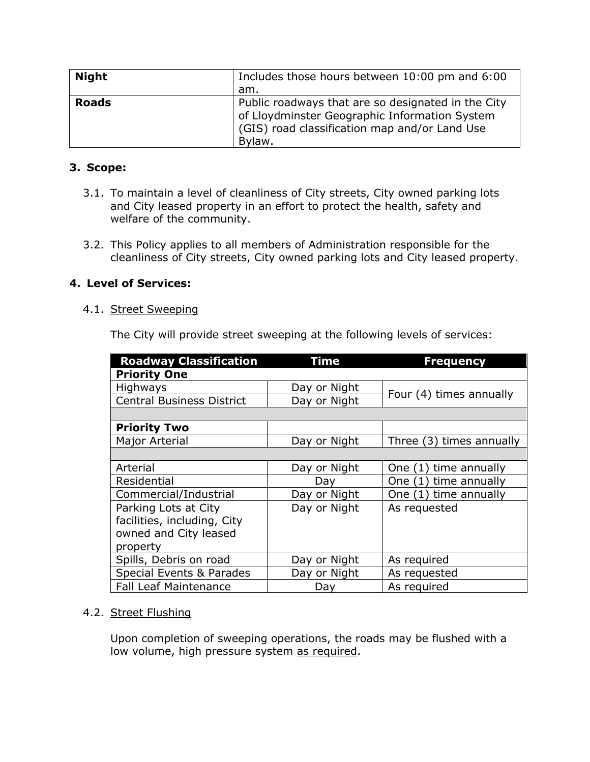| <b>Night</b> | Includes those hours between 10:00 pm and 6:00<br>am.                                                                                                          |
|--------------|----------------------------------------------------------------------------------------------------------------------------------------------------------------|
| <b>Roads</b> | Public roadways that are so designated in the City<br>of Lloydminster Geographic Information System<br>(GIS) road classification map and/or Land Use<br>Bylaw. |

# **3. Scope:**

- 3.1. To maintain a level of cleanliness of City streets, City owned parking lots and City leased property in an effort to protect the health, safety and welfare of the community.
- 3.2. This Policy applies to all members of Administration responsible for the cleanliness of City streets, City owned parking lots and City leased property.

# **4. Level of Services:**

### 4.1. Street Sweeping

The City will provide street sweeping at the following levels of services:

| <b>Roadway Classification</b>    | Time         | <b>Frequency</b>           |  |
|----------------------------------|--------------|----------------------------|--|
| <b>Priority One</b>              |              |                            |  |
| <b>Highways</b>                  | Day or Night | Four (4) times annually    |  |
| <b>Central Business District</b> | Day or Night |                            |  |
|                                  |              |                            |  |
| <b>Priority Two</b>              |              |                            |  |
| Major Arterial                   | Day or Night | Three (3) times annually   |  |
|                                  |              |                            |  |
| Arterial                         | Day or Night | time annually<br>One $(1)$ |  |
| Residential                      | Day          | time annually<br>One $(1)$ |  |
| Commercial/Industrial            | Day or Night | One (1) time annually      |  |
| Parking Lots at City             | Day or Night | As requested               |  |
| facilities, including, City      |              |                            |  |
| owned and City leased            |              |                            |  |
| property                         |              |                            |  |
| Spills, Debris on road           | Day or Night | As required                |  |
| Special Events & Parades         | Day or Night | As requested               |  |
| <b>Fall Leaf Maintenance</b>     | Day          | As required                |  |

#### 4.2. Street Flushing

Upon completion of sweeping operations, the roads may be flushed with a low volume, high pressure system as required.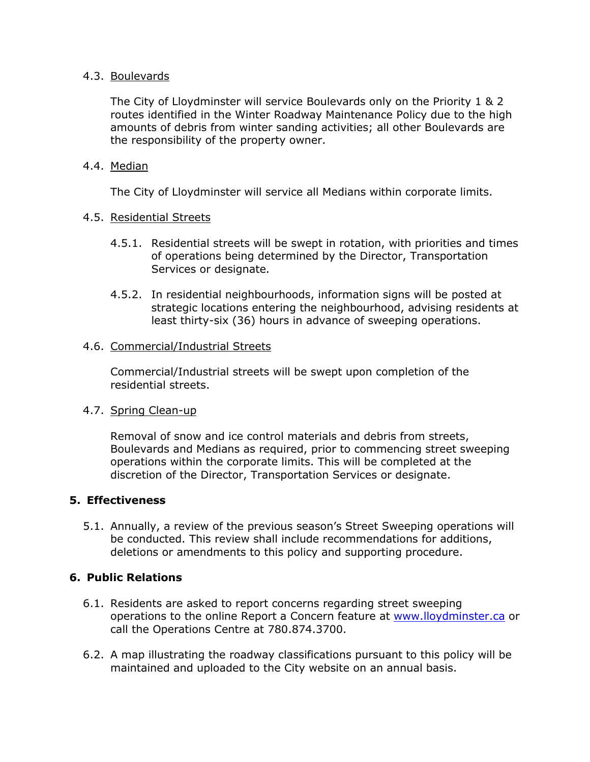### 4.3. Boulevards

The City of Lloydminster will service Boulevards only on the Priority 1 & 2 routes identified in the Winter Roadway Maintenance Policy due to the high amounts of debris from winter sanding activities; all other Boulevards are the responsibility of the property owner.

## 4.4. Median

The City of Lloydminster will service all Medians within corporate limits.

### 4.5. Residential Streets

- 4.5.1. Residential streets will be swept in rotation, with priorities and times of operations being determined by the Director, Transportation Services or designate.
- 4.5.2. In residential neighbourhoods, information signs will be posted at strategic locations entering the neighbourhood, advising residents at least thirty-six (36) hours in advance of sweeping operations.

### 4.6. Commercial/Industrial Streets

Commercial/Industrial streets will be swept upon completion of the residential streets.

#### 4.7. Spring Clean-up

Removal of snow and ice control materials and debris from streets, Boulevards and Medians as required, prior to commencing street sweeping operations within the corporate limits. This will be completed at the discretion of the Director, Transportation Services or designate.

#### **5. Effectiveness**

5.1. Annually, a review of the previous season's Street Sweeping operations will be conducted. This review shall include recommendations for additions, deletions or amendments to this policy and supporting procedure.

## **6. Public Relations**

- 6.1. Residents are asked to report concerns regarding street sweeping operations to the online Report a Concern feature at [www.lloydminster.ca](http://www.lloydminster.ca/) or call the Operations Centre at 780.874.3700.
- 6.2. A map illustrating the roadway classifications pursuant to this policy will be maintained and uploaded to the City website on an annual basis.